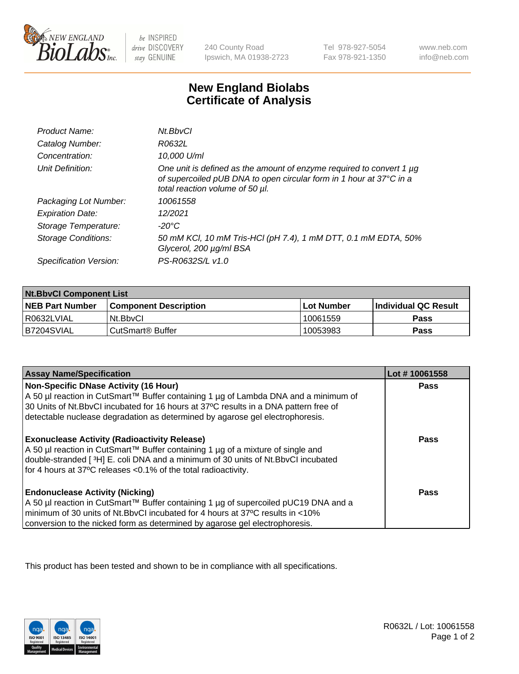

be INSPIRED drive DISCOVERY stay GENUINE

240 County Road Ipswich, MA 01938-2723

Tel 978-927-5054 Fax 978-921-1350

www.neb.com info@neb.com

## **New England Biolabs Certificate of Analysis**

| Product Name:              | Nt.BbvCl                                                                                                                                                                       |
|----------------------------|--------------------------------------------------------------------------------------------------------------------------------------------------------------------------------|
| Catalog Number:            | R0632L                                                                                                                                                                         |
| Concentration:             | 10,000 U/ml                                                                                                                                                                    |
| Unit Definition:           | One unit is defined as the amount of enzyme required to convert 1 µg<br>of supercoiled pUB DNA to open circular form in 1 hour at 37°C in a<br>total reaction volume of 50 µl. |
| Packaging Lot Number:      | 10061558                                                                                                                                                                       |
| <b>Expiration Date:</b>    | 12/2021                                                                                                                                                                        |
| Storage Temperature:       | -20°C                                                                                                                                                                          |
| <b>Storage Conditions:</b> | 50 mM KCl, 10 mM Tris-HCl (pH 7.4), 1 mM DTT, 0.1 mM EDTA, 50%<br>Glycerol, 200 µg/ml BSA                                                                                      |
| Specification Version:     | PS-R0632S/L v1.0                                                                                                                                                               |

| <b>Nt.BbvCl Component List</b> |                         |              |                             |  |
|--------------------------------|-------------------------|--------------|-----------------------------|--|
| <b>NEB Part Number</b>         | l Component Description | l Lot Number | <b>Individual QC Result</b> |  |
| I R0632LVIAL                   | Nt.BbvCl                | 10061559     | <b>Pass</b>                 |  |
| IB7204SVIAL                    | l CutSmart® Buffer      | 10053983     | <b>Pass</b>                 |  |

| <b>Assay Name/Specification</b>                                                                                                                                                                                                                                                                       | Lot #10061558 |
|-------------------------------------------------------------------------------------------------------------------------------------------------------------------------------------------------------------------------------------------------------------------------------------------------------|---------------|
| Non-Specific DNase Activity (16 Hour)<br>A 50 µl reaction in CutSmart™ Buffer containing 1 µg of Lambda DNA and a minimum of<br>30 Units of Nt.BbvCl incubated for 16 hours at 37°C results in a DNA pattern free of<br>detectable nuclease degradation as determined by agarose gel electrophoresis. | Pass          |
| <b>Exonuclease Activity (Radioactivity Release)</b><br>A 50 µl reaction in CutSmart™ Buffer containing 1 µg of a mixture of single and<br>double-stranded [3H] E. coli DNA and a minimum of 30 units of Nt.BbvCl incubated<br>for 4 hours at 37°C releases <0.1% of the total radioactivity.          | Pass          |
| <b>Endonuclease Activity (Nicking)</b><br>A 50 µl reaction in CutSmart™ Buffer containing 1 µg of supercoiled pUC19 DNA and a<br>minimum of 30 units of Nt.BbyCI incubated for 4 hours at 37°C results in <10%<br>conversion to the nicked form as determined by agarose gel electrophoresis.         | Pass          |

This product has been tested and shown to be in compliance with all specifications.